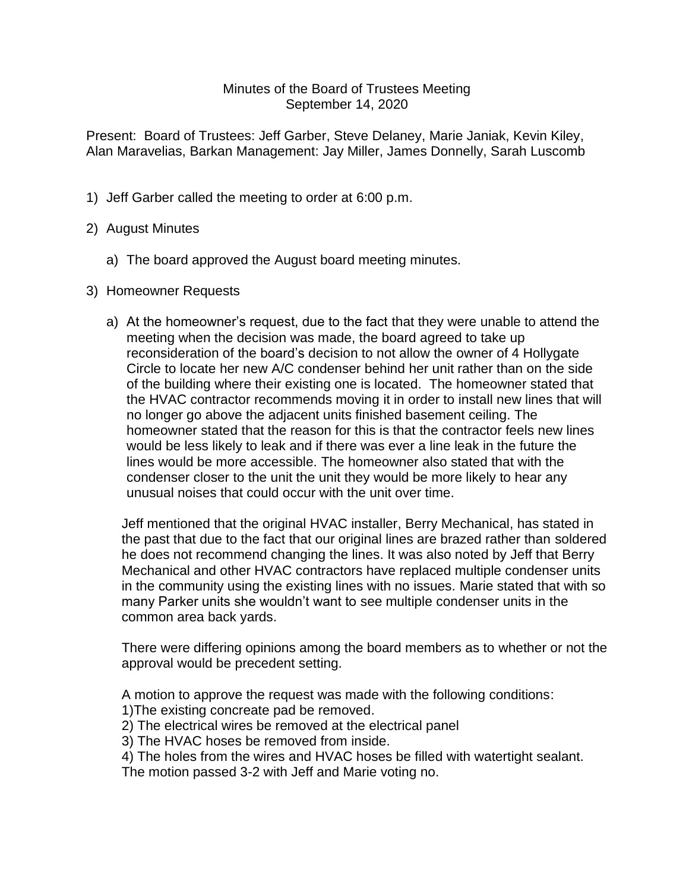## Minutes of the Board of Trustees Meeting September 14, 2020

Present: Board of Trustees: Jeff Garber, Steve Delaney, Marie Janiak, Kevin Kiley, Alan Maravelias, Barkan Management: Jay Miller, James Donnelly, Sarah Luscomb

- 1) Jeff Garber called the meeting to order at 6:00 p.m.
- 2) August Minutes
	- a) The board approved the August board meeting minutes.
- 3) Homeowner Requests
	- a) At the homeowner's request, due to the fact that they were unable to attend the meeting when the decision was made, the board agreed to take up reconsideration of the board's decision to not allow the owner of 4 Hollygate Circle to locate her new A/C condenser behind her unit rather than on the side of the building where their existing one is located. The homeowner stated that the HVAC contractor recommends moving it in order to install new lines that will no longer go above the adjacent units finished basement ceiling. The homeowner stated that the reason for this is that the contractor feels new lines would be less likely to leak and if there was ever a line leak in the future the lines would be more accessible. The homeowner also stated that with the condenser closer to the unit the unit they would be more likely to hear any unusual noises that could occur with the unit over time.

Jeff mentioned that the original HVAC installer, Berry Mechanical, has stated in the past that due to the fact that our original lines are brazed rather than soldered he does not recommend changing the lines. It was also noted by Jeff that Berry Mechanical and other HVAC contractors have replaced multiple condenser units in the community using the existing lines with no issues. Marie stated that with so many Parker units she wouldn't want to see multiple condenser units in the common area back yards.

There were differing opinions among the board members as to whether or not the approval would be precedent setting.

A motion to approve the request was made with the following conditions: 1)The existing concreate pad be removed.

2) The electrical wires be removed at the electrical panel

- 3) The HVAC hoses be removed from inside.
- 4) The holes from the wires and HVAC hoses be filled with watertight sealant.

The motion passed 3-2 with Jeff and Marie voting no.